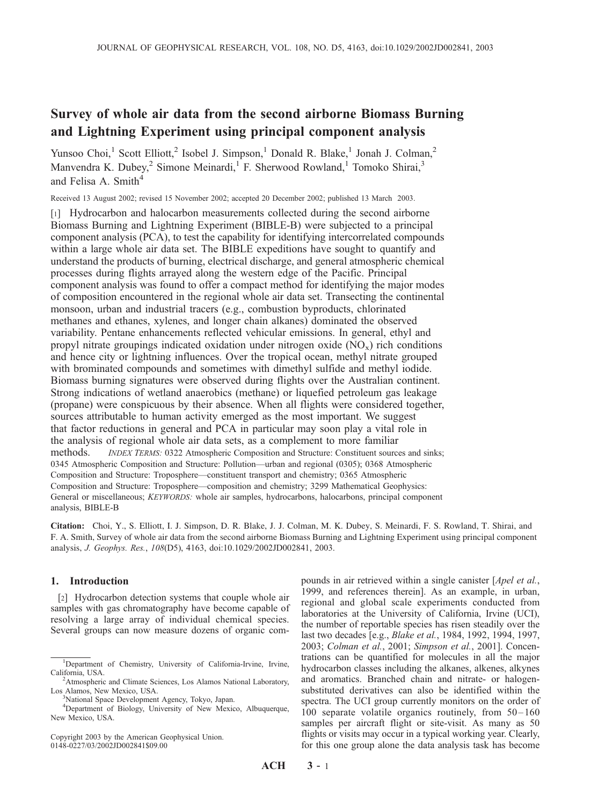# Survey of whole air data from the second airborne Biomass Burning and Lightning Experiment using principal component analysis

Yunsoo Choi,<sup>1</sup> Scott Elliott,<sup>2</sup> Isobel J. Simpson,<sup>1</sup> Donald R. Blake,<sup>1</sup> Jonah J. Colman,<sup>2</sup> Manvendra K. Dubey,<sup>2</sup> Simone Meinardi,<sup>1</sup> F. Sherwood Rowland,<sup>1</sup> Tomoko Shirai,<sup>3</sup> and Felisa A. Smith<sup>4</sup>

Received 13 August 2002; revised 15 November 2002; accepted 20 December 2002; published 13 March 2003.

[1] Hydrocarbon and halocarbon measurements collected during the second airborne Biomass Burning and Lightning Experiment (BIBLE-B) were subjected to a principal component analysis (PCA), to test the capability for identifying intercorrelated compounds within a large whole air data set. The BIBLE expeditions have sought to quantify and understand the products of burning, electrical discharge, and general atmospheric chemical processes during flights arrayed along the western edge of the Pacific. Principal component analysis was found to offer a compact method for identifying the major modes of composition encountered in the regional whole air data set. Transecting the continental monsoon, urban and industrial tracers (e.g., combustion byproducts, chlorinated methanes and ethanes, xylenes, and longer chain alkanes) dominated the observed variability. Pentane enhancements reflected vehicular emissions. In general, ethyl and propyl nitrate groupings indicated oxidation under nitrogen oxide  $(NO_x)$  rich conditions and hence city or lightning influences. Over the tropical ocean, methyl nitrate grouped with brominated compounds and sometimes with dimethyl sulfide and methyl iodide. Biomass burning signatures were observed during flights over the Australian continent. Strong indications of wetland anaerobics (methane) or liquefied petroleum gas leakage (propane) were conspicuous by their absence. When all flights were considered together, sources attributable to human activity emerged as the most important. We suggest that factor reductions in general and PCA in particular may soon play a vital role in the analysis of regional whole air data sets, as a complement to more familiar methods. *INDEX TERMS:* 0322 Atmospheric Composition and Structure: Constituent sources and sinks; 0345 Atmospheric Composition and Structure: Pollution—urban and regional (0305); 0368 Atmospheric Composition and Structure: Troposphere—constituent transport and chemistry; 0365 Atmospheric Composition and Structure: Troposphere—composition and chemistry; 3299 Mathematical Geophysics: General or miscellaneous; KEYWORDS: whole air samples, hydrocarbons, halocarbons, principal component analysis, BIBLE-B

Citation: Choi, Y., S. Elliott, I. J. Simpson, D. R. Blake, J. J. Colman, M. K. Dubey, S. Meinardi, F. S. Rowland, T. Shirai, and F. A. Smith, Survey of whole air data from the second airborne Biomass Burning and Lightning Experiment using principal component analysis, J. Geophys. Res., 108(D5), 4163, doi:10.1029/2002JD002841, 2003.

#### 1. Introduction

[2] Hydrocarbon detection systems that couple whole air samples with gas chromatography have become capable of resolving a large array of individual chemical species. Several groups can now measure dozens of organic com-

Copyright 2003 by the American Geophysical Union. 0148-0227/03/2002JD002841\$09.00

pounds in air retrieved within a single canister [*Apel et al.*, 1999, and references therein]. As an example, in urban, regional and global scale experiments conducted from laboratories at the University of California, Irvine (UCI), the number of reportable species has risen steadily over the last two decades [e.g., Blake et al., 1984, 1992, 1994, 1997, 2003; Colman et al., 2001; Simpson et al., 2001]. Concentrations can be quantified for molecules in all the major hydrocarbon classes including the alkanes, alkenes, alkynes and aromatics. Branched chain and nitrate- or halogensubstituted derivatives can also be identified within the spectra. The UCI group currently monitors on the order of 100 separate volatile organics routinely, from  $50 - 160$ samples per aircraft flight or site-visit. As many as 50 flights or visits may occur in a typical working year. Clearly, for this one group alone the data analysis task has become

<sup>&</sup>lt;sup>1</sup>Department of Chemistry, University of California-Irvine, Irvine, California, USA.

<sup>&</sup>lt;sup>2</sup> Atmospheric and Climate Sciences, Los Alamos National Laboratory, Los Alamos, New Mexico, USA.

<sup>&</sup>lt;sup>3</sup>National Space Development Agency, Tokyo, Japan.

<sup>&</sup>lt;sup>4</sup>Department of Biology, University of New Mexico, Albuquerque, New Mexico, USA.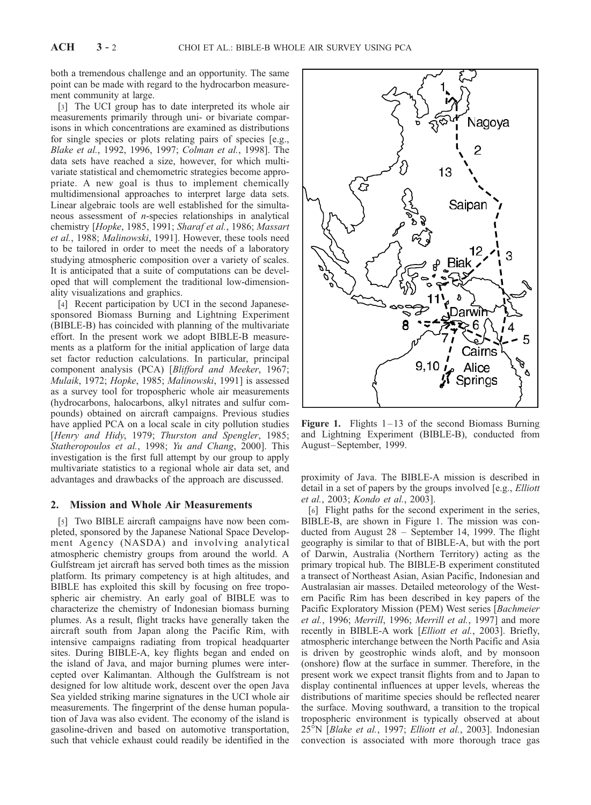both a tremendous challenge and an opportunity. The same point can be made with regard to the hydrocarbon measurement community at large.

[3] The UCI group has to date interpreted its whole air measurements primarily through uni- or bivariate comparisons in which concentrations are examined as distributions for single species or plots relating pairs of species [e.g., Blake et al., 1992, 1996, 1997; Colman et al., 1998]. The data sets have reached a size, however, for which multivariate statistical and chemometric strategies become appropriate. A new goal is thus to implement chemically multidimensional approaches to interpret large data sets. Linear algebraic tools are well established for the simultaneous assessment of n-species relationships in analytical chemistry [Hopke, 1985, 1991; Sharaf et al., 1986; Massart et al., 1988; Malinowski, 1991]. However, these tools need to be tailored in order to meet the needs of a laboratory studying atmospheric composition over a variety of scales. It is anticipated that a suite of computations can be developed that will complement the traditional low-dimensionality visualizations and graphics.

[4] Recent participation by UCI in the second Japanesesponsored Biomass Burning and Lightning Experiment (BIBLE-B) has coincided with planning of the multivariate effort. In the present work we adopt BIBLE-B measurements as a platform for the initial application of large data set factor reduction calculations. In particular, principal component analysis (PCA) [Blifford and Meeker, 1967; Mulaik, 1972; Hopke, 1985; Malinowski, 1991] is assessed as a survey tool for tropospheric whole air measurements (hydrocarbons, halocarbons, alkyl nitrates and sulfur compounds) obtained on aircraft campaigns. Previous studies have applied PCA on a local scale in city pollution studies [Henry and Hidy, 1979; Thurston and Spengler, 1985; Statheropoulos et al., 1998; Yu and Chang, 2000]. This investigation is the first full attempt by our group to apply multivariate statistics to a regional whole air data set, and advantages and drawbacks of the approach are discussed.

### 2. Mission and Whole Air Measurements

[5] Two BIBLE aircraft campaigns have now been completed, sponsored by the Japanese National Space Development Agency (NASDA) and involving analytical atmospheric chemistry groups from around the world. A Gulfstream jet aircraft has served both times as the mission platform. Its primary competency is at high altitudes, and BIBLE has exploited this skill by focusing on free tropospheric air chemistry. An early goal of BIBLE was to characterize the chemistry of Indonesian biomass burning plumes. As a result, flight tracks have generally taken the aircraft south from Japan along the Pacific Rim, with intensive campaigns radiating from tropical headquarter sites. During BIBLE-A, key flights began and ended on the island of Java, and major burning plumes were intercepted over Kalimantan. Although the Gulfstream is not designed for low altitude work, descent over the open Java Sea yielded striking marine signatures in the UCI whole air measurements. The fingerprint of the dense human population of Java was also evident. The economy of the island is gasoline-driven and based on automotive transportation, such that vehicle exhaust could readily be identified in the



**Figure 1.** Flights  $1-13$  of the second Biomass Burning and Lightning Experiment (BIBLE-B), conducted from August –September, 1999.

proximity of Java. The BIBLE-A mission is described in detail in a set of papers by the groups involved [e.g., *Elliott* et al., 2003; Kondo et al., 2003].

[6] Flight paths for the second experiment in the series, BIBLE-B, are shown in Figure 1. The mission was conducted from August 28 – September 14, 1999. The flight geography is similar to that of BIBLE-A, but with the port of Darwin, Australia (Northern Territory) acting as the primary tropical hub. The BIBLE-B experiment constituted a transect of Northeast Asian, Asian Pacific, Indonesian and Australasian air masses. Detailed meteorology of the Western Pacific Rim has been described in key papers of the Pacific Exploratory Mission (PEM) West series [Bachmeier et al., 1996; Merrill, 1996; Merrill et al., 1997] and more recently in BIBLE-A work [Elliott et al., 2003]. Briefly, atmospheric interchange between the North Pacific and Asia is driven by geostrophic winds aloft, and by monsoon (onshore) flow at the surface in summer. Therefore, in the present work we expect transit flights from and to Japan to display continental influences at upper levels, whereas the distributions of maritime species should be reflected nearer the surface. Moving southward, a transition to the tropical tropospheric environment is typically observed at about  $25^{\circ}$ N [Blake et al., 1997; Elliott et al., 2003]. Indonesian convection is associated with more thorough trace gas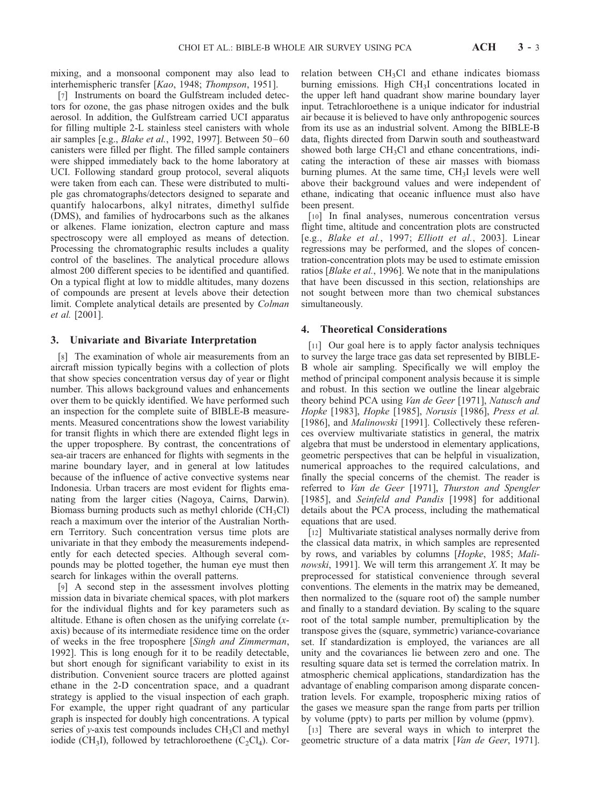mixing, and a monsoonal component may also lead to interhemispheric transfer [Kao, 1948; Thompson, 1951].

[7] Instruments on board the Gulfstream included detectors for ozone, the gas phase nitrogen oxides and the bulk aerosol. In addition, the Gulfstream carried UCI apparatus for filling multiple 2-L stainless steel canisters with whole air samples [e.g., *Blake et al.*, 1992, 1997]. Between 50–60 canisters were filled per flight. The filled sample containers were shipped immediately back to the home laboratory at UCI. Following standard group protocol, several aliquots were taken from each can. These were distributed to multiple gas chromatographs/detectors designed to separate and quantify halocarbons, alkyl nitrates, dimethyl sulfide (DMS), and families of hydrocarbons such as the alkanes or alkenes. Flame ionization, electron capture and mass spectroscopy were all employed as means of detection. Processing the chromatographic results includes a quality control of the baselines. The analytical procedure allows almost 200 different species to be identified and quantified. On a typical flight at low to middle altitudes, many dozens of compounds are present at levels above their detection limit. Complete analytical details are presented by Colman et al. [2001].

#### 3. Univariate and Bivariate Interpretation

[8] The examination of whole air measurements from an aircraft mission typically begins with a collection of plots that show species concentration versus day of year or flight number. This allows background values and enhancements over them to be quickly identified. We have performed such an inspection for the complete suite of BIBLE-B measurements. Measured concentrations show the lowest variability for transit flights in which there are extended flight legs in the upper troposphere. By contrast, the concentrations of sea-air tracers are enhanced for flights with segments in the marine boundary layer, and in general at low latitudes because of the influence of active convective systems near Indonesia. Urban tracers are most evident for flights emanating from the larger cities (Nagoya, Cairns, Darwin). Biomass burning products such as methyl chloride  $(CH_3Cl)$ reach a maximum over the interior of the Australian Northern Territory. Such concentration versus time plots are univariate in that they embody the measurements independently for each detected species. Although several compounds may be plotted together, the human eye must then search for linkages within the overall patterns.

[9] A second step in the assessment involves plotting mission data in bivariate chemical spaces, with plot markers for the individual flights and for key parameters such as altitude. Ethane is often chosen as the unifying correlate (xaxis) because of its intermediate residence time on the order of weeks in the free troposphere [Singh and Zimmerman, 1992]. This is long enough for it to be readily detectable, but short enough for significant variability to exist in its distribution. Convenient source tracers are plotted against ethane in the 2-D concentration space, and a quadrant strategy is applied to the visual inspection of each graph. For example, the upper right quadrant of any particular graph is inspected for doubly high concentrations. A typical series of y-axis test compounds includes  $CH<sub>3</sub>Cl$  and methyl iodide (CH<sub>3</sub>I), followed by tetrachloroethene (C<sub>2</sub>Cl<sub>4</sub>). Correlation between  $CH<sub>3</sub>Cl$  and ethane indicates biomass burning emissions. High CH<sub>3</sub>I concentrations located in the upper left hand quadrant show marine boundary layer input. Tetrachloroethene is a unique indicator for industrial air because it is believed to have only anthropogenic sources from its use as an industrial solvent. Among the BIBLE-B data, flights directed from Darwin south and southeastward showed both large  $CH<sub>3</sub>Cl$  and ethane concentrations, indicating the interaction of these air masses with biomass burning plumes. At the same time, CH3I levels were well above their background values and were independent of ethane, indicating that oceanic influence must also have been present.

[10] In final analyses, numerous concentration versus flight time, altitude and concentration plots are constructed [e.g., Blake et al., 1997; Elliott et al., 2003]. Linear regressions may be performed, and the slopes of concentration-concentration plots may be used to estimate emission ratios [Blake et al., 1996]. We note that in the manipulations that have been discussed in this section, relationships are not sought between more than two chemical substances simultaneously.

#### 4. Theoretical Considerations

[11] Our goal here is to apply factor analysis techniques to survey the large trace gas data set represented by BIBLE-B whole air sampling. Specifically we will employ the method of principal component analysis because it is simple and robust. In this section we outline the linear algebraic theory behind PCA using Van de Geer [1971], Natusch and Hopke [1983], Hopke [1985], Norusis [1986], Press et al. [1986], and *Malinowski* [1991]. Collectively these references overview multivariate statistics in general, the matrix algebra that must be understood in elementary applications, geometric perspectives that can be helpful in visualization, numerical approaches to the required calculations, and finally the special concerns of the chemist. The reader is referred to Van de Geer [1971], Thurston and Spengler [1985], and Seinfeld and Pandis [1998] for additional details about the PCA process, including the mathematical equations that are used.

[12] Multivariate statistical analyses normally derive from the classical data matrix, in which samples are represented by rows, and variables by columns [Hopke, 1985; Malinowski, 1991]. We will term this arrangement X. It may be preprocessed for statistical convenience through several conventions. The elements in the matrix may be demeaned, then normalized to the (square root of) the sample number and finally to a standard deviation. By scaling to the square root of the total sample number, premultiplication by the transpose gives the (square, symmetric) variance-covariance set. If standardization is employed, the variances are all unity and the covariances lie between zero and one. The resulting square data set is termed the correlation matrix. In atmospheric chemical applications, standardization has the advantage of enabling comparison among disparate concentration levels. For example, tropospheric mixing ratios of the gases we measure span the range from parts per trillion by volume (pptv) to parts per million by volume (ppmv).

[13] There are several ways in which to interpret the geometric structure of a data matrix [Van de Geer, 1971].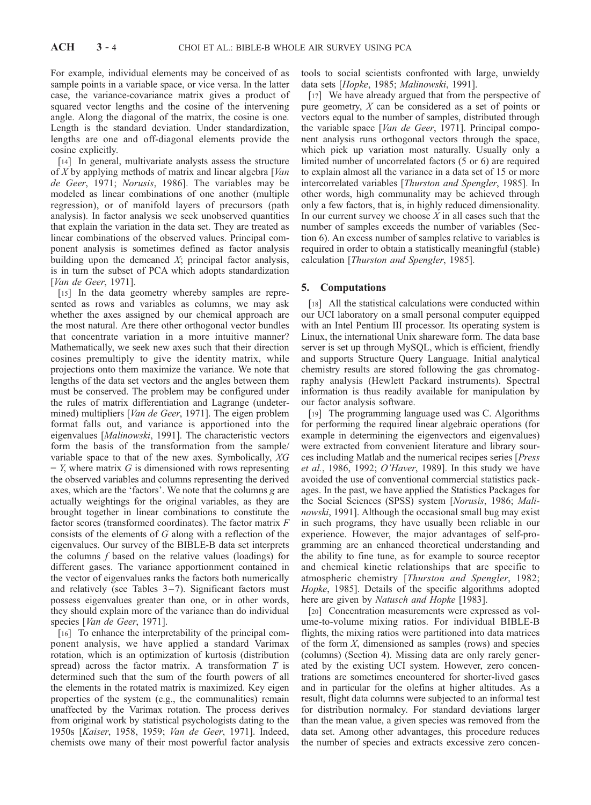For example, individual elements may be conceived of as sample points in a variable space, or vice versa. In the latter case, the variance-covariance matrix gives a product of squared vector lengths and the cosine of the intervening angle. Along the diagonal of the matrix, the cosine is one. Length is the standard deviation. Under standardization, lengths are one and off-diagonal elements provide the cosine explicitly.

[14] In general, multivariate analysts assess the structure of X by applying methods of matrix and linear algebra [Van de Geer, 1971; Norusis, 1986]. The variables may be modeled as linear combinations of one another (multiple regression), or of manifold layers of precursors (path analysis). In factor analysis we seek unobserved quantities that explain the variation in the data set. They are treated as linear combinations of the observed values. Principal component analysis is sometimes defined as factor analysis building upon the demeaned  $X$ ; principal factor analysis, is in turn the subset of PCA which adopts standardization [Van de Geer, 1971].

[15] In the data geometry whereby samples are represented as rows and variables as columns, we may ask whether the axes assigned by our chemical approach are the most natural. Are there other orthogonal vector bundles that concentrate variation in a more intuitive manner? Mathematically, we seek new axes such that their direction cosines premultiply to give the identity matrix, while projections onto them maximize the variance. We note that lengths of the data set vectors and the angles between them must be conserved. The problem may be configured under the rules of matrix differentiation and Lagrange (undetermined) multipliers [Van de Geer, 1971]. The eigen problem format falls out, and variance is apportioned into the eigenvalues [Malinowski, 1991]. The characteristic vectors form the basis of the transformation from the sample/ variable space to that of the new axes. Symbolically, XG  $= Y$ , where matrix G is dimensioned with rows representing the observed variables and columns representing the derived axes, which are the 'factors'. We note that the columns g are actually weightings for the original variables, as they are brought together in linear combinations to constitute the factor scores (transformed coordinates). The factor matrix  $F$ consists of the elements of G along with a reflection of the eigenvalues. Our survey of the BIBLE-B data set interprets the columns  $f$  based on the relative values (loadings) for different gases. The variance apportionment contained in the vector of eigenvalues ranks the factors both numerically and relatively (see Tables  $3-7$ ). Significant factors must possess eigenvalues greater than one, or in other words, they should explain more of the variance than do individual species [Van de Geer, 1971].

[16] To enhance the interpretability of the principal component analysis, we have applied a standard Varimax rotation, which is an optimization of kurtosis (distribution spread) across the factor matrix. A transformation  $T$  is determined such that the sum of the fourth powers of all the elements in the rotated matrix is maximized. Key eigen properties of the system (e.g., the communalities) remain unaffected by the Varimax rotation. The process derives from original work by statistical psychologists dating to the 1950s [Kaiser, 1958, 1959; Van de Geer, 1971]. Indeed, chemists owe many of their most powerful factor analysis

tools to social scientists confronted with large, unwieldy data sets [Hopke, 1985; Malinowski, 1991].

[17] We have already argued that from the perspective of pure geometry, X can be considered as a set of points or vectors equal to the number of samples, distributed through the variable space [*Van de Geer*, 1971]. Principal component analysis runs orthogonal vectors through the space, which pick up variation most naturally. Usually only a limited number of uncorrelated factors (5 or 6) are required to explain almost all the variance in a data set of 15 or more intercorrelated variables [Thurston and Spengler, 1985]. In other words, high communality may be achieved through only a few factors, that is, in highly reduced dimensionality. In our current survey we choose  $X$  in all cases such that the number of samples exceeds the number of variables (Section 6). An excess number of samples relative to variables is required in order to obtain a statistically meaningful (stable) calculation [Thurston and Spengler, 1985].

### 5. Computations

[18] All the statistical calculations were conducted within our UCI laboratory on a small personal computer equipped with an Intel Pentium III processor. Its operating system is Linux, the international Unix shareware form. The data base server is set up through MySQL, which is efficient, friendly and supports Structure Query Language. Initial analytical chemistry results are stored following the gas chromatography analysis (Hewlett Packard instruments). Spectral information is thus readily available for manipulation by our factor analysis software.

[19] The programming language used was C. Algorithms for performing the required linear algebraic operations (for example in determining the eigenvectors and eigenvalues) were extracted from convenient literature and library sources including Matlab and the numerical recipes series [Press et al., 1986, 1992; *O'Haver*, 1989]. In this study we have avoided the use of conventional commercial statistics packages. In the past, we have applied the Statistics Packages for the Social Sciences (SPSS) system [Norusis, 1986; Malinowski, 1991]. Although the occasional small bug may exist in such programs, they have usually been reliable in our experience. However, the major advantages of self-programming are an enhanced theoretical understanding and the ability to fine tune, as for example to source receptor and chemical kinetic relationships that are specific to atmospheric chemistry [Thurston and Spengler, 1982; Hopke, 1985]. Details of the specific algorithms adopted here are given by *Natusch and Hopke* [1983].

[20] Concentration measurements were expressed as volume-to-volume mixing ratios. For individual BIBLE-B flights, the mixing ratios were partitioned into data matrices of the form  $X$ , dimensioned as samples (rows) and species (columns) (Section 4). Missing data are only rarely generated by the existing UCI system. However, zero concentrations are sometimes encountered for shorter-lived gases and in particular for the olefins at higher altitudes. As a result, flight data columns were subjected to an informal test for distribution normalcy. For standard deviations larger than the mean value, a given species was removed from the data set. Among other advantages, this procedure reduces the number of species and extracts excessive zero concen-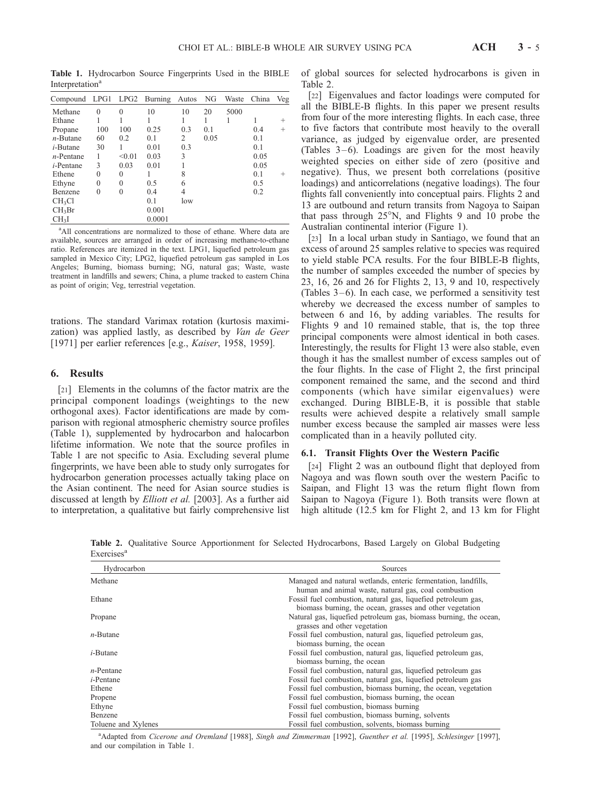Table 1. Hydrocarbon Source Fingerprints Used in the BIBLE Interpretation<sup>a</sup>

| Compound           |          |          | LPG1 LPG2 Burning | Autos | NG   | Waste | China | Veg    |
|--------------------|----------|----------|-------------------|-------|------|-------|-------|--------|
| Methane            | $\theta$ | $\theta$ | 10                | 10    | 20   | 5000  |       |        |
| Ethane             |          |          |                   |       |      |       |       | $\div$ |
| Propane            | 100      | 100      | 0.25              | 0.3   | 0.1  |       | 0.4   | $^{+}$ |
| $n$ -Butane        | 60       | 0.2      | 0.1               | 2     | 0.05 |       | 0.1   |        |
| $i$ -Butane        | 30       |          | 0.01              | 0.3   |      |       | 0.1   |        |
| $n$ -Pentane       | 1        | < 0.01   | 0.03              | 3     |      |       | 0.05  |        |
| $i$ -Pentane       | 3        | 0.03     | 0.01              |       |      |       | 0.05  |        |
| Ethene             | $\theta$ | 0        |                   | 8     |      |       | 0.1   | $^{+}$ |
| Ethyne             | $\theta$ | 0        | 0.5               | 6     |      |       | 0.5   |        |
| <b>Benzene</b>     | $\Omega$ | 0        | 0.4               | 4     |      |       | 0.2   |        |
| CH <sub>3</sub> Cl |          |          | 0.1               | low   |      |       |       |        |
| CH <sub>3</sub> Br |          |          | 0.001             |       |      |       |       |        |
| CH <sub>3</sub> I  |          |          | 0.0001            |       |      |       |       |        |

<sup>a</sup>All concentrations are normalized to those of ethane. Where data are available, sources are arranged in order of increasing methane-to-ethane ratio. References are itemized in the text. LPG1, liquefied petroleum gas sampled in Mexico City; LPG2, liquefied petroleum gas sampled in Los Angeles; Burning, biomass burning; NG, natural gas; Waste, waste treatment in landfills and sewers; China, a plume tracked to eastern China as point of origin; Veg, terrestrial vegetation.

trations. The standard Varimax rotation (kurtosis maximization) was applied lastly, as described by Van de Geer [1971] per earlier references [e.g., *Kaiser*, 1958, 1959].

#### 6. Results

[21] Elements in the columns of the factor matrix are the principal component loadings (weightings to the new orthogonal axes). Factor identifications are made by comparison with regional atmospheric chemistry source profiles (Table 1), supplemented by hydrocarbon and halocarbon lifetime information. We note that the source profiles in Table 1 are not specific to Asia. Excluding several plume fingerprints, we have been able to study only surrogates for hydrocarbon generation processes actually taking place on the Asian continent. The need for Asian source studies is discussed at length by *Elliott et al.* [2003]. As a further aid to interpretation, a qualitative but fairly comprehensive list of global sources for selected hydrocarbons is given in Table 2.

[22] Eigenvalues and factor loadings were computed for all the BIBLE-B flights. In this paper we present results from four of the more interesting flights. In each case, three to five factors that contribute most heavily to the overall variance, as judged by eigenvalue order, are presented (Tables  $3-6$ ). Loadings are given for the most heavily weighted species on either side of zero (positive and negative). Thus, we present both correlations (positive loadings) and anticorrelations (negative loadings). The four flights fall conveniently into conceptual pairs. Flights 2 and 13 are outbound and return transits from Nagoya to Saipan that pass through  $25^{\circ}$ N, and Flights 9 and 10 probe the Australian continental interior (Figure 1).

[23] In a local urban study in Santiago, we found that an excess of around 25 samples relative to species was required to yield stable PCA results. For the four BIBLE-B flights, the number of samples exceeded the number of species by 23, 16, 26 and 26 for Flights 2, 13, 9 and 10, respectively (Tables  $3-6$ ). In each case, we performed a sensitivity test whereby we decreased the excess number of samples to between 6 and 16, by adding variables. The results for Flights 9 and 10 remained stable, that is, the top three principal components were almost identical in both cases. Interestingly, the results for Flight 13 were also stable, even though it has the smallest number of excess samples out of the four flights. In the case of Flight 2, the first principal component remained the same, and the second and third components (which have similar eigenvalues) were exchanged. During BIBLE-B, it is possible that stable results were achieved despite a relatively small sample number excess because the sampled air masses were less complicated than in a heavily polluted city.

#### 6.1. Transit Flights Over the Western Pacific

[24] Flight 2 was an outbound flight that deployed from Nagoya and was flown south over the western Pacific to Saipan, and Flight 13 was the return flight flown from Saipan to Nagoya (Figure 1). Both transits were flown at high altitude (12.5 km for Flight 2, and 13 km for Flight

Table 2. Qualitative Source Apportionment for Selected Hydrocarbons, Based Largely on Global Budgeting Exercises<sup>®</sup>

| Hydrocarbon         | Sources                                                                                                                   |
|---------------------|---------------------------------------------------------------------------------------------------------------------------|
| Methane             | Managed and natural wetlands, enteric fermentation, landfills,<br>human and animal waste, natural gas, coal combustion    |
| Ethane              | Fossil fuel combustion, natural gas, liquefied petroleum gas,<br>biomass burning, the ocean, grasses and other vegetation |
| Propane             | Natural gas, liquefied petroleum gas, biomass burning, the ocean,<br>grasses and other vegetation                         |
| $n$ -Butane         | Fossil fuel combustion, natural gas, liquefied petroleum gas,<br>biomass burning, the ocean                               |
| <i>i</i> -Butane    | Fossil fuel combustion, natural gas, liquefied petroleum gas,<br>biomass burning, the ocean                               |
| $n$ -Pentane        | Fossil fuel combustion, natural gas, liquefied petroleum gas                                                              |
| $i$ -Pentane        | Fossil fuel combustion, natural gas, liquefied petroleum gas                                                              |
| Ethene              | Fossil fuel combustion, biomass burning, the ocean, vegetation                                                            |
| Propene             | Fossil fuel combustion, biomass burning, the ocean                                                                        |
| Ethyne              | Fossil fuel combustion, biomass burning                                                                                   |
| Benzene             | Fossil fuel combustion, biomass burning, solvents                                                                         |
| Toluene and Xylenes | Fossil fuel combustion, solvents, biomass burning                                                                         |

a<br>Adapted from Cicerone and Oremland [1988], Singh and Zimmerman [1992], Guenther et al. [1995], Schlesinger [1997], and our compilation in Table 1.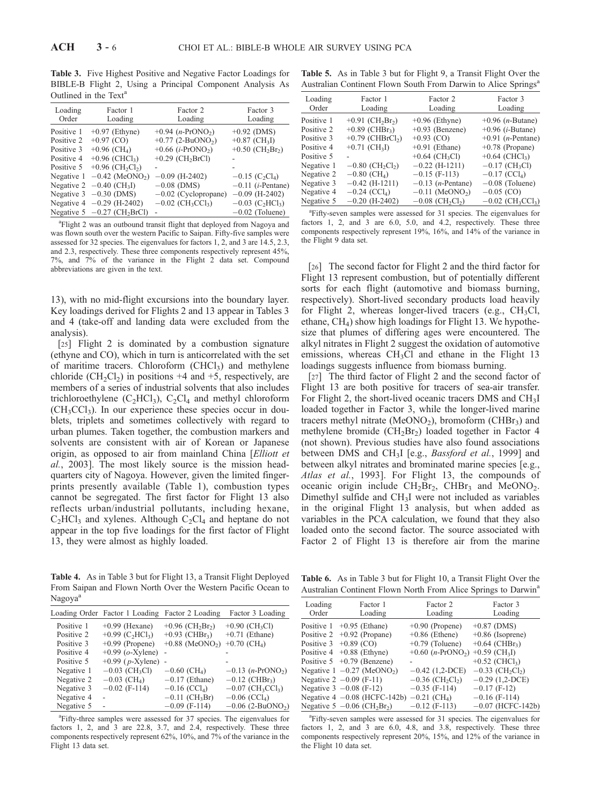Table 3. Five Highest Positive and Negative Factor Loadings for BIBLE-B Flight 2, Using a Principal Component Analysis As Outlined in the Text<sup>a</sup>

| Loading<br>Order | Factor 1<br>Loading                        | Factor 2<br>Loading                         | Factor 3<br>Loading                        |
|------------------|--------------------------------------------|---------------------------------------------|--------------------------------------------|
|                  |                                            |                                             |                                            |
| Positive 1       | $+0.97$ (Ethyne)                           | +0.94 $(n\text{-PrONO}_2)$                  | $+0.92$ (DMS)                              |
| Positive 2       | $+0.97$ (CO)                               | $+0.77$ (2-BuONO <sub>2</sub> )             | $+0.87$ (CH <sub>3</sub> I)                |
| Positive 3       | $+0.96$ (CH <sub>4</sub> )                 | +0.66 $(i$ -PrONO <sub>2</sub> )            | $+0.50$ (CH <sub>2</sub> Br <sub>2</sub> ) |
| Positive 4       | $+0.96$ (CHCl <sub>3</sub> )               | $+0.29$ (CH <sub>2</sub> BrCl)              |                                            |
| Positive 5       | $+0.96$ (CH <sub>2</sub> Cl <sub>2</sub> ) |                                             |                                            |
| Negative 1       | $-0.42$ (MeONO <sub>2</sub> )              | $-0.09$ (H-2402)                            | $-0.15$ (C <sub>2</sub> Cl <sub>4</sub> )  |
|                  | Negative $2 -0.40$ (CH <sub>3</sub> I)     | $-0.08$ (DMS)                               | $-0.11$ ( <i>i</i> -Pentane)               |
|                  | Negative $3 -0.30$ (DMS)                   | $-0.02$ (Cyclopropane)                      | $-0.09$ (H-2402)                           |
|                  | Negative $4 -0.29$ (H-2402)                | $-0.02$ (CH <sub>3</sub> CCl <sub>3</sub> ) | $-0.03$ (C <sub>2</sub> HCl <sub>3</sub> ) |
|                  | Negative $5 -0.27$ (CH <sub>2</sub> BrCl)  |                                             | $-0.02$ (Toluene)                          |

<sup>a</sup>Flight 2 was an outbound transit flight that deployed from Nagoya and was flown south over the western Pacific to Saipan. Fifty-five samples were assessed for 32 species. The eigenvalues for factors 1, 2, and 3 are 14.5, 2.3, and 2.3, respectively. These three components respectively represent 45%, 7%, and 7% of the variance in the Flight 2 data set. Compound abbreviations are given in the text.

13), with no mid-flight excursions into the boundary layer. Key loadings derived for Flights 2 and 13 appear in Tables 3 and 4 (take-off and landing data were excluded from the analysis).

[25] Flight 2 is dominated by a combustion signature (ethyne and CO), which in turn is anticorrelated with the set of maritime tracers. Chloroform  $(CHCl<sub>3</sub>)$  and methylene chloride ( $CH_2Cl_2$ ) in positions +4 and +5, respectively, are members of a series of industrial solvents that also includes trichloroethylene  $(C_2HCl_3)$ ,  $C_2Cl_4$  and methyl chloroform  $(CH_3CCl_3)$ . In our experience these species occur in doublets, triplets and sometimes collectively with regard to urban plumes. Taken together, the combustion markers and solvents are consistent with air of Korean or Japanese origin, as opposed to air from mainland China [Elliott et al., 2003]. The most likely source is the mission headquarters city of Nagoya. However, given the limited fingerprints presently available (Table 1), combustion types cannot be segregated. The first factor for Flight 13 also reflects urban/industrial pollutants, including hexane,  $C_2HCl_3$  and xylenes. Although  $C_2Cl_4$  and heptane do not appear in the top five loadings for the first factor of Flight 13, they were almost as highly loaded.

Table 4. As in Table 3 but for Flight 13, a Transit Flight Deployed From Saipan and Flown North Over the Western Pacific Ocean to Nagoya<sup>a</sup>

|            | Loading Order Factor 1 Loading Factor 2 Loading |                                            | Factor 3 Loading                            |
|------------|-------------------------------------------------|--------------------------------------------|---------------------------------------------|
| Positive 1 | $+0.99$ (Hexane)                                | $+0.96$ (CH <sub>2</sub> Br <sub>2</sub> ) | $+0.90$ (CH <sub>3</sub> Cl)                |
| Positive 2 | $+0.99$ (C <sub>2</sub> HCl <sub>3</sub> )      | $+0.93$ (CHBr <sub>3</sub> )               | $+0.71$ (Ethane)                            |
| Positive 3 | $+0.99$ (Propene)                               | $+0.88$ (MeONO <sub>2</sub> )              | $+0.70$ (CH <sub>4</sub> )                  |
| Positive 4 | $+0.99$ ( $o$ -Xylene) -                        |                                            |                                             |
| Positive 5 | $+0.99$ ( <i>p</i> -Xylene) -                   |                                            |                                             |
| Negative 1 | $-0.03$ (CH <sub>3</sub> Cl)                    | $-0.60$ (CH <sub>4</sub> )                 | $-0.13$ ( <i>n</i> -PrONO <sub>2</sub> )    |
| Negative 2 | $-0.03$ (CH <sub>4</sub> )                      | $-0.17$ (Ethane)                           | $-0.12$ (CHBr <sub>3</sub> )                |
| Negative 3 | $-0.02$ (F-114)                                 | $-0.16$ (CCl <sub>4</sub> )                | $-0.07$ (CH <sub>3</sub> CCl <sub>3</sub> ) |
| Negative 4 |                                                 | $-0.11$ (CH <sub>3</sub> Br)               | $-0.06$ (CCl <sub>4</sub> )                 |
| Negative 5 |                                                 | $-0.09$ (F-114)                            | $-0.06$ (2-BuONO <sub>2</sub> )             |

<sup>a</sup>Fifty-three samples were assessed for 37 species. The eigenvalues for factors 1, 2, and 3 are 22.8, 3.7, and 2.4, respectively. These three components respectively represent 62%, 10%, and 7% of the variance in the Flight 13 data set.

Table 5. As in Table 3 but for Flight 9, a Transit Flight Over the Australian Continent Flown South From Darwin to Alice Springs<sup>a</sup>

| Loading<br>Order | Factor 1<br>Loading                        | Factor 2<br>Loading                        | Factor 3<br>Loading                         |
|------------------|--------------------------------------------|--------------------------------------------|---------------------------------------------|
| Positive 1       | $+0.91$ (CH <sub>2</sub> Br <sub>2</sub> ) | $+0.96$ (Ethyne)                           | $+0.96$ ( <i>n</i> -Butane)                 |
| Positive 2       | $+0.89$ (CHBr <sub>3</sub> )               | $+0.93$ (Benzene)                          | $+0.96$ ( <i>i</i> -Butane)                 |
| Positive 3       | $+0.79$ (CHBrCl <sub>2</sub> )             | $+0.93$ (CO)                               | $+0.91$ ( <i>n</i> -Pentane)                |
| Positive 4       | $+0.71$ (CH <sub>3</sub> I)                | $+0.91$ (Ethane)                           | $+0.78$ (Propane)                           |
| Positive 5       |                                            | $+0.64$ (CH <sub>3</sub> Cl)               | $+0.64$ (CHCl <sub>3</sub> )                |
| Negative 1       | $-0.80$ (CH <sub>2</sub> Cl <sub>2</sub> ) | $-0.22$ (H-1211)                           | $-0.17$ (CH <sub>3</sub> Cl)                |
| Negative 2       | $-0.80$ (CH <sub>4</sub> )                 | $-0.15$ (F-113)                            | $-0.17$ (CCl <sub>4</sub> )                 |
| Negative 3       | $-0.42$ (H-1211)                           | $-0.13$ ( <i>n</i> -Pentane)               | $-0.08$ (Toluene)                           |
| Negative 4       | $-0.24$ (CCl <sub>4</sub> )                | $-0.11$ (MeONO <sub>2</sub> )              | $-0.05$ (CO)                                |
| Negative 5       | $-0.20$ (H-2402)                           | $-0.08$ (CH <sub>2</sub> Cl <sub>2</sub> ) | $-0.02$ (CH <sub>3</sub> CCl <sub>3</sub> ) |

<sup>&</sup>lt;sup>a</sup>Fifty-seven samples were assessed for 31 species. The eigenvalues for factors 1, 2, and 3 are 6.0, 5.0, and 4.2, respectively. These three components respectively represent 19%, 16%, and 14% of the variance in the Flight 9 data set.

[26] The second factor for Flight 2 and the third factor for Flight 13 represent combustion, but of potentially different sorts for each flight (automotive and biomass burning, respectively). Short-lived secondary products load heavily for Flight 2, whereas longer-lived tracers (e.g.,  $CH<sub>3</sub>Cl$ , ethane,  $CH<sub>4</sub>$ ) show high loadings for Flight 13. We hypothesize that plumes of differing ages were encountered. The alkyl nitrates in Flight 2 suggest the oxidation of automotive emissions, whereas  $CH<sub>3</sub>Cl$  and ethane in the Flight 13 loadings suggests influence from biomass burning.

[27] The third factor of Flight 2 and the second factor of Flight 13 are both positive for tracers of sea-air transfer. For Flight 2, the short-lived oceanic tracers DMS and CH3I loaded together in Factor 3, while the longer-lived marine tracers methyl nitrate (MeONO<sub>2</sub>), bromoform (CHBr<sub>3</sub>) and methylene bromide  $(CH_2Br_2)$  loaded together in Factor 4 (not shown). Previous studies have also found associations between DMS and CH<sub>3</sub>I [e.g., *Bassford et al.*, 1999] and between alkyl nitrates and brominated marine species [e.g., Atlas et al., 1993]. For Flight 13, the compounds of oceanic origin include  $CH<sub>2</sub>Br<sub>2</sub>$ , CHBr<sub>3</sub> and MeONO<sub>2</sub>. Dimethyl sulfide and CH3I were not included as variables in the original Flight 13 analysis, but when added as variables in the PCA calculation, we found that they also loaded onto the second factor. The source associated with Factor 2 of Flight 13 is therefore air from the marine

Table 6. As in Table 3 but for Flight 10, a Transit Flight Over the Australian Continent Flown North From Alice Springs to Darwin<sup>a</sup>

| Loading<br>Order | Factor 1<br>Loading                                   | Factor 2<br>Loading                        | Factor 3<br>Loading                        |
|------------------|-------------------------------------------------------|--------------------------------------------|--------------------------------------------|
|                  | Positive $1 +0.95$ (Ethane)                           | $+0.90$ (Propene)                          | $+0.87$ (DMS)                              |
|                  | Positive $2 +0.92$ (Propane)                          | $+0.86$ (Ethene)                           | $+0.86$ (Isoprene)                         |
|                  | Positive $3 +0.89$ (CO)                               | $+0.79$ (Toluene)                          | $+0.64$ (CHBr <sub>3</sub> )               |
|                  | Positive $4 +0.88$ (Ethyne)                           | $+0.60$ ( <i>n</i> -PrONO <sub>2</sub> )   | $+0.59$ (CH <sub>3</sub> I)                |
|                  | Positive $5 +0.79$ (Benzene)                          |                                            | $+0.52$ (CHCl <sub>3</sub> )               |
|                  | Negative $1 -0.27$ (MeONO <sub>2</sub> )              | $-0.42$ (1,2-DCE)                          | $-0.33$ (CH <sub>2</sub> Cl <sub>2</sub> ) |
|                  | Negative $2 -0.09$ (F-11)                             | $-0.36$ (CH <sub>2</sub> Cl <sub>2</sub> ) | $-0.29$ (1,2-DCE)                          |
|                  | Negative $3 -0.08$ (F-12)                             | $-0.35$ (F-114)                            | $-0.17$ (F-12)                             |
|                  | Negative $4 -0.08$ (HCFC-142b)                        | $-0.21$ (CH <sub>4</sub> )                 | $-0.16$ (F-114)                            |
|                  | Negative $5 -0.06$ (CH <sub>2</sub> Br <sub>2</sub> ) | $-0.12$ (F-113)                            | $-0.07$ (HCFC-142b)                        |

<sup>a</sup>Fifty-seven samples were assessed for 31 species. The eigenvalues for factors 1, 2, and 3 are 6.0, 4.8, and 3.8, respectively. These three components respectively represent 20%, 15%, and 12% of the variance in the Flight 10 data set.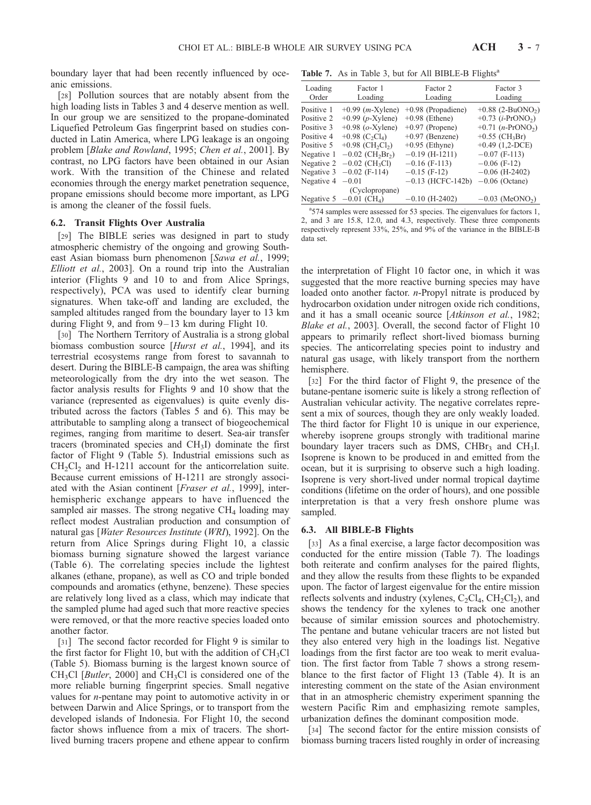boundary layer that had been recently influenced by oceanic emissions.

[28] Pollution sources that are notably absent from the high loading lists in Tables 3 and 4 deserve mention as well. In our group we are sensitized to the propane-dominated Liquefied Petroleum Gas fingerprint based on studies conducted in Latin America, where LPG leakage is an ongoing problem [Blake and Rowland, 1995; Chen et al., 2001]. By contrast, no LPG factors have been obtained in our Asian work. With the transition of the Chinese and related economies through the energy market penetration sequence, propane emissions should become more important, as LPG is among the cleaner of the fossil fuels.

#### 6.2. Transit Flights Over Australia

[29] The BIBLE series was designed in part to study atmospheric chemistry of the ongoing and growing Southeast Asian biomass burn phenomenon [Sawa et al., 1999; Elliott et al., 2003]. On a round trip into the Australian interior (Flights 9 and 10 to and from Alice Springs, respectively), PCA was used to identify clear burning signatures. When take-off and landing are excluded, the sampled altitudes ranged from the boundary layer to 13 km during Flight 9, and from  $9-13$  km during Flight 10.

[30] The Northern Territory of Australia is a strong global biomass combustion source [*Hurst et al.*, 1994], and its terrestrial ecosystems range from forest to savannah to desert. During the BIBLE-B campaign, the area was shifting meteorologically from the dry into the wet season. The factor analysis results for Flights 9 and 10 show that the variance (represented as eigenvalues) is quite evenly distributed across the factors (Tables 5 and 6). This may be attributable to sampling along a transect of biogeochemical regimes, ranging from maritime to desert. Sea-air transfer tracers (brominated species and CH3I) dominate the first factor of Flight 9 (Table 5). Industrial emissions such as  $CH<sub>2</sub>Cl<sub>2</sub>$  and H-1211 account for the anticorrelation suite. Because current emissions of H-1211 are strongly associated with the Asian continent [Fraser et al., 1999], interhemispheric exchange appears to have influenced the sampled air masses. The strong negative  $CH<sub>4</sub>$  loading may reflect modest Australian production and consumption of natural gas [Water Resources Institute (WRI), 1992]. On the return from Alice Springs during Flight 10, a classic biomass burning signature showed the largest variance (Table 6). The correlating species include the lightest alkanes (ethane, propane), as well as CO and triple bonded compounds and aromatics (ethyne, benzene). These species are relatively long lived as a class, which may indicate that the sampled plume had aged such that more reactive species were removed, or that the more reactive species loaded onto another factor.

[31] The second factor recorded for Flight 9 is similar to the first factor for Flight 10, but with the addition of  $CH<sub>3</sub>Cl$ (Table 5). Biomass burning is the largest known source of  $CH<sub>3</sub>Cl$  [*Butler*, 2000] and  $CH<sub>3</sub>Cl$  is considered one of the more reliable burning fingerprint species. Small negative values for n-pentane may point to automotive activity in or between Darwin and Alice Springs, or to transport from the developed islands of Indonesia. For Flight 10, the second factor shows influence from a mix of tracers. The shortlived burning tracers propene and ethene appear to confirm

Table 7. As in Table 3, but for All BIBLE-B Flights<sup>a</sup>

| Loading<br>Order | Factor 1<br>Loading                        | Factor 2<br>Loading  | Factor 3<br>Loading                      |
|------------------|--------------------------------------------|----------------------|------------------------------------------|
| Positive 1       | $+0.99$ ( <i>m</i> -Xylene)                | $+0.98$ (Propadiene) | $+0.88$ (2-BuONO <sub>2</sub> )          |
| Positive 2       | $+0.99$ ( <i>p</i> -Xylene)                | $+0.98$ (Ethene)     | +0.73 $(i$ -PrONO <sub>2</sub> )         |
| Positive 3       | $+0.98$ ( $o$ -Xylene)                     | $+0.97$ (Propene)    | $+0.71$ ( <i>n</i> -PrONO <sub>2</sub> ) |
| Positive 4       | +0.98 $(C_2Cl_4)$                          | $+0.97$ (Benzene)    | $+0.55$ (CH <sub>3</sub> Br)             |
| Positive 5       | $+0.98$ (CH <sub>2</sub> Cl <sub>2</sub> ) | $+0.95$ (Ethyne)     | $+0.49$ (1,2-DCE)                        |
| Negative 1       | $-0.02$ (CH <sub>2</sub> Br <sub>2</sub> ) | $-0.19$ (H-1211)     | $-0.07$ (F-113)                          |
| Negative 2       | $-0.02$ (CH <sub>3</sub> Cl)               | $-0.16$ (F-113)      | $-0.06$ (F-12)                           |
| Negative 3       | $-0.02$ (F-114)                            | $-0.15$ (F-12)       | $-0.06$ (H-2402)                         |
| Negative 4       | $-0.01$                                    | $-0.13$ (HCFC-142b)  | $-0.06$ (Octane)                         |
|                  | (Cyclopropane)                             |                      |                                          |
|                  | Negative $5 -0.01$ (CH <sub>4</sub> )      | $-0.10$ (H-2402)     | $-0.03$ (MeONO <sub>2</sub> )            |

<sup>a</sup>574 samples were assessed for 53 species. The eigenvalues for factors 1, 2, and 3 are 15.8, 12.0, and 4.3, respectively. These three components respectively represent 33%, 25%, and 9% of the variance in the BIBLE-B data set.

the interpretation of Flight 10 factor one, in which it was suggested that the more reactive burning species may have loaded onto another factor. *n*-Propyl nitrate is produced by hydrocarbon oxidation under nitrogen oxide rich conditions, and it has a small oceanic source [Atkinson et al., 1982; Blake et al., 2003]. Overall, the second factor of Flight 10 appears to primarily reflect short-lived biomass burning species. The anticorrelating species point to industry and natural gas usage, with likely transport from the northern hemisphere.

[32] For the third factor of Flight 9, the presence of the butane-pentane isomeric suite is likely a strong reflection of Australian vehicular activity. The negative correlates represent a mix of sources, though they are only weakly loaded. The third factor for Flight 10 is unique in our experience, whereby isoprene groups strongly with traditional marine boundary layer tracers such as DMS, CHB $r_3$  and CH<sub>3</sub>I. Isoprene is known to be produced in and emitted from the ocean, but it is surprising to observe such a high loading. Isoprene is very short-lived under normal tropical daytime conditions (lifetime on the order of hours), and one possible interpretation is that a very fresh onshore plume was sampled.

#### 6.3. All BIBLE-B Flights

[33] As a final exercise, a large factor decomposition was conducted for the entire mission (Table 7). The loadings both reiterate and confirm analyses for the paired flights, and they allow the results from these flights to be expanded upon. The factor of largest eigenvalue for the entire mission reflects solvents and industry (xylenes,  $C_2Cl_4$ ,  $CH_2Cl_2$ ), and shows the tendency for the xylenes to track one another because of similar emission sources and photochemistry. The pentane and butane vehicular tracers are not listed but they also entered very high in the loadings list. Negative loadings from the first factor are too weak to merit evaluation. The first factor from Table 7 shows a strong resemblance to the first factor of Flight 13 (Table 4). It is an interesting comment on the state of the Asian environment that in an atmospheric chemistry experiment spanning the western Pacific Rim and emphasizing remote samples, urbanization defines the dominant composition mode.

[34] The second factor for the entire mission consists of biomass burning tracers listed roughly in order of increasing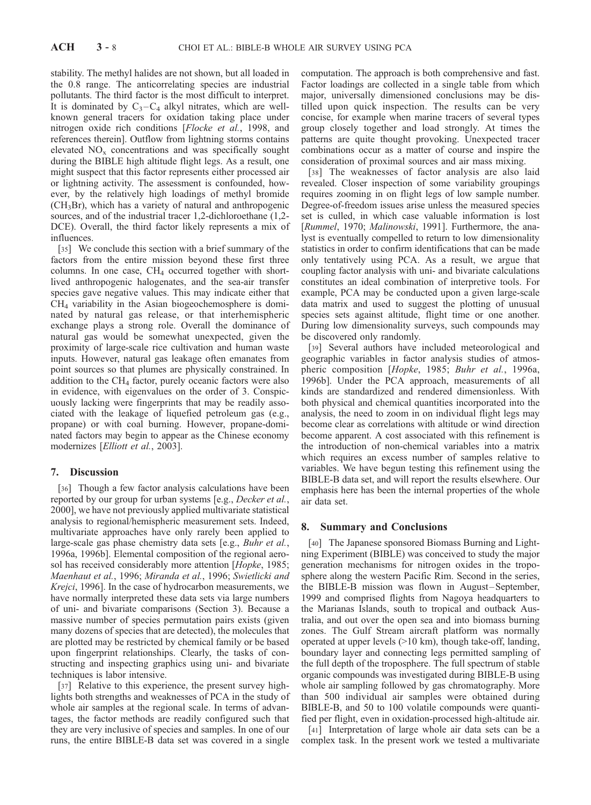stability. The methyl halides are not shown, but all loaded in the 0.8 range. The anticorrelating species are industrial pollutants. The third factor is the most difficult to interpret. It is dominated by  $C_3 - C_4$  alkyl nitrates, which are wellknown general tracers for oxidation taking place under nitrogen oxide rich conditions [Flocke et al., 1998, and references therein]. Outflow from lightning storms contains elevated  $NO<sub>x</sub>$  concentrations and was specifically sought during the BIBLE high altitude flight legs. As a result, one might suspect that this factor represents either processed air or lightning activity. The assessment is confounded, however, by the relatively high loadings of methyl bromide  $(CH<sub>3</sub>Br)$ , which has a variety of natural and anthropogenic sources, and of the industrial tracer 1,2-dichloroethane (1,2- DCE). Overall, the third factor likely represents a mix of influences.

[35] We conclude this section with a brief summary of the factors from the entire mission beyond these first three columns. In one case,  $CH_4$  occurred together with shortlived anthropogenic halogenates, and the sea-air transfer species gave negative values. This may indicate either that CH4 variability in the Asian biogeochemosphere is dominated by natural gas release, or that interhemispheric exchange plays a strong role. Overall the dominance of natural gas would be somewhat unexpected, given the proximity of large-scale rice cultivation and human waste inputs. However, natural gas leakage often emanates from point sources so that plumes are physically constrained. In addition to the CH<sub>4</sub> factor, purely oceanic factors were also in evidence, with eigenvalues on the order of 3. Conspicuously lacking were fingerprints that may be readily associated with the leakage of liquefied petroleum gas (e.g., propane) or with coal burning. However, propane-dominated factors may begin to appear as the Chinese economy modernizes [Elliott et al., 2003].

## 7. Discussion

[36] Though a few factor analysis calculations have been reported by our group for urban systems [e.g., Decker et al., 2000], we have not previously applied multivariate statistical analysis to regional/hemispheric measurement sets. Indeed, multivariate approaches have only rarely been applied to large-scale gas phase chemistry data sets [e.g., Buhr et al., 1996a, 1996b]. Elemental composition of the regional aerosol has received considerably more attention [Hopke, 1985; Maenhaut et al., 1996; Miranda et al., 1996; Swietlicki and Krejci, 1996]. In the case of hydrocarbon measurements, we have normally interpreted these data sets via large numbers of uni- and bivariate comparisons (Section 3). Because a massive number of species permutation pairs exists (given many dozens of species that are detected), the molecules that are plotted may be restricted by chemical family or be based upon fingerprint relationships. Clearly, the tasks of constructing and inspecting graphics using uni- and bivariate techniques is labor intensive.

[37] Relative to this experience, the present survey highlights both strengths and weaknesses of PCA in the study of whole air samples at the regional scale. In terms of advantages, the factor methods are readily configured such that they are very inclusive of species and samples. In one of our runs, the entire BIBLE-B data set was covered in a single

computation. The approach is both comprehensive and fast. Factor loadings are collected in a single table from which major, universally dimensioned conclusions may be distilled upon quick inspection. The results can be very concise, for example when marine tracers of several types group closely together and load strongly. At times the patterns are quite thought provoking. Unexpected tracer combinations occur as a matter of course and inspire the consideration of proximal sources and air mass mixing.

[38] The weaknesses of factor analysis are also laid revealed. Closer inspection of some variability groupings requires zooming in on flight legs of low sample number. Degree-of-freedom issues arise unless the measured species set is culled, in which case valuable information is lost [Rummel, 1970; Malinowski, 1991]. Furthermore, the analyst is eventually compelled to return to low dimensionality statistics in order to confirm identifications that can be made only tentatively using PCA. As a result, we argue that coupling factor analysis with uni- and bivariate calculations constitutes an ideal combination of interpretive tools. For example, PCA may be conducted upon a given large-scale data matrix and used to suggest the plotting of unusual species sets against altitude, flight time or one another. During low dimensionality surveys, such compounds may be discovered only randomly.

[39] Several authors have included meteorological and geographic variables in factor analysis studies of atmospheric composition [Hopke, 1985; Buhr et al., 1996a, 1996b]. Under the PCA approach, measurements of all kinds are standardized and rendered dimensionless. With both physical and chemical quantities incorporated into the analysis, the need to zoom in on individual flight legs may become clear as correlations with altitude or wind direction become apparent. A cost associated with this refinement is the introduction of non-chemical variables into a matrix which requires an excess number of samples relative to variables. We have begun testing this refinement using the BIBLE-B data set, and will report the results elsewhere. Our emphasis here has been the internal properties of the whole air data set.

#### 8. Summary and Conclusions

[40] The Japanese sponsored Biomass Burning and Lightning Experiment (BIBLE) was conceived to study the major generation mechanisms for nitrogen oxides in the troposphere along the western Pacific Rim. Second in the series, the BIBLE-B mission was flown in August–September, 1999 and comprised flights from Nagoya headquarters to the Marianas Islands, south to tropical and outback Australia, and out over the open sea and into biomass burning zones. The Gulf Stream aircraft platform was normally operated at upper levels (>10 km), though take-off, landing, boundary layer and connecting legs permitted sampling of the full depth of the troposphere. The full spectrum of stable organic compounds was investigated during BIBLE-B using whole air sampling followed by gas chromatography. More than 500 individual air samples were obtained during BIBLE-B, and 50 to 100 volatile compounds were quantified per flight, even in oxidation-processed high-altitude air.

[41] Interpretation of large whole air data sets can be a complex task. In the present work we tested a multivariate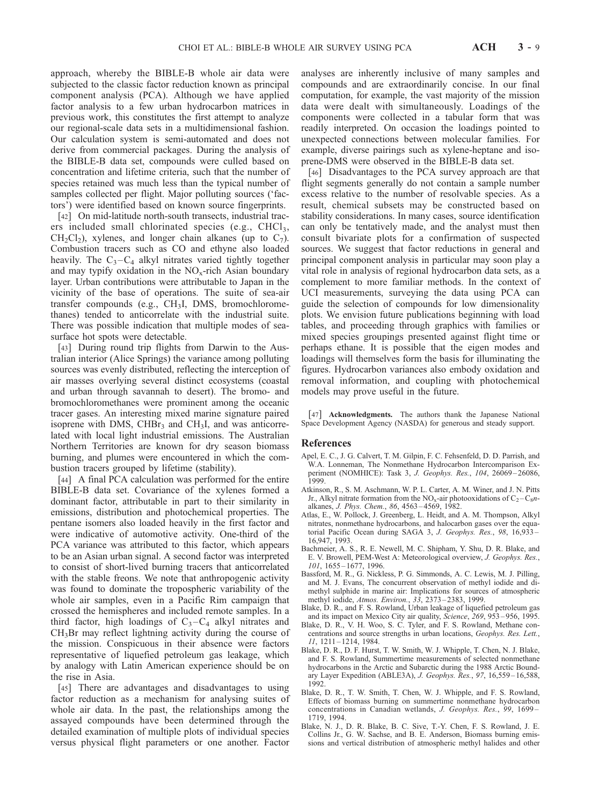approach, whereby the BIBLE-B whole air data were subjected to the classic factor reduction known as principal component analysis (PCA). Although we have applied factor analysis to a few urban hydrocarbon matrices in previous work, this constitutes the first attempt to analyze our regional-scale data sets in a multidimensional fashion. Our calculation system is semi-automated and does not derive from commercial packages. During the analysis of the BIBLE-B data set, compounds were culled based on concentration and lifetime criteria, such that the number of species retained was much less than the typical number of samples collected per flight. Major polluting sources ('factors') were identified based on known source fingerprints.

[42] On mid-latitude north-south transects, industrial tracers included small chlorinated species (e.g.,  $CHCl<sub>3</sub>$ ,  $CH_2Cl_2$ ), xylenes, and longer chain alkanes (up to  $C_7$ ). Combustion tracers such as CO and ethyne also loaded heavily. The  $C_3 - C_4$  alkyl nitrates varied tightly together and may typify oxidation in the  $NO<sub>x</sub>$ -rich Asian boundary layer. Urban contributions were attributable to Japan in the vicinity of the base of operations. The suite of sea-air transfer compounds (e.g., CH3I, DMS, bromochloromethanes) tended to anticorrelate with the industrial suite. There was possible indication that multiple modes of seasurface hot spots were detectable.

[43] During round trip flights from Darwin to the Australian interior (Alice Springs) the variance among polluting sources was evenly distributed, reflecting the interception of air masses overlying several distinct ecosystems (coastal and urban through savannah to desert). The bromo- and bromochloromethanes were prominent among the oceanic tracer gases. An interesting mixed marine signature paired isoprene with DMS, CHB $r_3$  and CH<sub>3</sub>I, and was anticorrelated with local light industrial emissions. The Australian Northern Territories are known for dry season biomass burning, and plumes were encountered in which the combustion tracers grouped by lifetime (stability).

[44] A final PCA calculation was performed for the entire BIBLE-B data set. Covariance of the xylenes formed a dominant factor, attributable in part to their similarity in emissions, distribution and photochemical properties. The pentane isomers also loaded heavily in the first factor and were indicative of automotive activity. One-third of the PCA variance was attributed to this factor, which appears to be an Asian urban signal. A second factor was interpreted to consist of short-lived burning tracers that anticorrelated with the stable freons. We note that anthropogenic activity was found to dominate the tropospheric variability of the whole air samples, even in a Pacific Rim campaign that crossed the hemispheres and included remote samples. In a third factor, high loadings of  $C_3 - C_4$  alkyl nitrates and CH3Br may reflect lightning activity during the course of the mission. Conspicuous in their absence were factors representative of liquefied petroleum gas leakage, which by analogy with Latin American experience should be on the rise in Asia.

[45] There are advantages and disadvantages to using factor reduction as a mechanism for analysing suites of whole air data. In the past, the relationships among the assayed compounds have been determined through the detailed examination of multiple plots of individual species versus physical flight parameters or one another. Factor

analyses are inherently inclusive of many samples and compounds and are extraordinarily concise. In our final computation, for example, the vast majority of the mission data were dealt with simultaneously. Loadings of the components were collected in a tabular form that was readily interpreted. On occasion the loadings pointed to unexpected connections between molecular families. For example, diverse pairings such as xylene-heptane and isoprene-DMS were observed in the BIBLE-B data set.

[46] Disadvantages to the PCA survey approach are that flight segments generally do not contain a sample number excess relative to the number of resolvable species. As a result, chemical subsets may be constructed based on stability considerations. In many cases, source identification can only be tentatively made, and the analyst must then consult bivariate plots for a confirmation of suspected sources. We suggest that factor reductions in general and principal component analysis in particular may soon play a vital role in analysis of regional hydrocarbon data sets, as a complement to more familiar methods. In the context of UCI measurements, surveying the data using PCA can guide the selection of compounds for low dimensionality plots. We envision future publications beginning with load tables, and proceeding through graphics with families or mixed species groupings presented against flight time or perhaps ethane. It is possible that the eigen modes and loadings will themselves form the basis for illuminating the figures. Hydrocarbon variances also embody oxidation and removal information, and coupling with photochemical models may prove useful in the future.

[47] **Acknowledgments.** The authors thank the Japanese National Space Development Agency (NASDA) for generous and steady support.

#### References

- Apel, E. C., J. G. Calvert, T. M. Gilpin, F. C. Fehsenfeld, D. D. Parrish, and W.A. Lonneman, The Nonmethane Hydrocarbon Intercomparison Experiment (NOMHICE): Task 3, J. Geophys. Res., 104, 26069-26086, 1999.
- Atkinson, R., S. M. Aschmann, W. P. L. Carter, A. M. Winer, and J. N. Pitts Jr., Alkyl nitrate formation from the NO<sub>x</sub>-air photooxidations of  $C_2 - C_8n$ alkanes, J. Phys. Chem., 86, 4563 – 4569, 1982.
- Atlas, E., W. Pollock, J. Greenberg, L. Heidt, and A. M. Thompson, Alkyl nitrates, nonmethane hydrocarbons, and halocarbon gases over the equatorial Pacific Ocean during SAGA 3, J. Geophys. Res., 98, 16,933 – 16,947, 1993.
- Bachmeier, A. S., R. E. Newell, M. C. Shipham, Y. Shu, D. R. Blake, and E. V. Browell, PEM-West A: Meteorological overview, J. Geophys. Res., 101, 1655 – 1677, 1996.
- Bassford, M. R., G. Nickless, P. G. Simmonds, A. C. Lewis, M. J. Pilling, and M. J. Evans, The concurrent observation of methyl iodide and dimethyl sulphide in marine air: Implications for sources of atmospheric methyl iodide, Atmos. Environ., 33, 2373 – 2383, 1999.
- Blake, D. R., and F. S. Rowland, Urban leakage of liquefied petroleum gas and its impact on Mexico City air quality, Science, 269, 953 – 956, 1995.
- Blake, D. R., V. H. Woo, S. C. Tyler, and F. S. Rowland, Methane concentrations and source strengths in urban locations, Geophys. Res. Lett., 11, 1211 – 1214, 1984.
- Blake, D. R., D. F. Hurst, T. W. Smith, W. J. Whipple, T. Chen, N. J. Blake, and F. S. Rowland, Summertime measurements of selected nonmethane hydrocarbons in the Arctic and Subarctic during the 1988 Arctic Boundary Layer Expedition (ABLE3A), J. Geophys. Res., 97, 16,559 – 16,588, 1992.
- Blake, D. R., T. W. Smith, T. Chen, W. J. Whipple, and F. S. Rowland, Effects of biomass burning on summertime nonmethane hydrocarbon concentrations in Canadian wetlands, J. Geophys. Res., 99, 1699 – 1719, 1994.
- Blake, N. J., D. R. Blake, B. C. Sive, T.-Y. Chen, F. S. Rowland, J. E. Collins Jr., G. W. Sachse, and B. E. Anderson, Biomass burning emissions and vertical distribution of atmospheric methyl halides and other